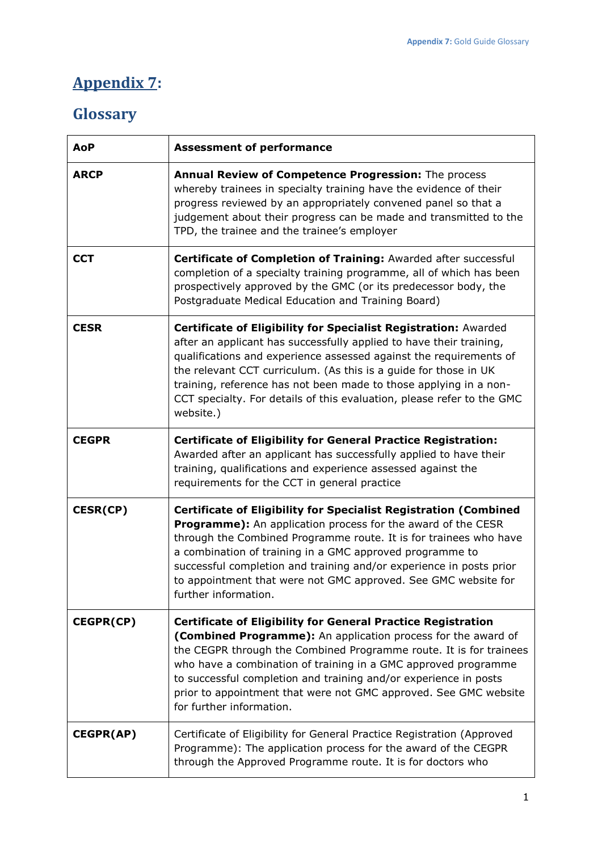## **Appendix 7:**

## **Glossary**

| <b>AoP</b>       | <b>Assessment of performance</b>                                                                                                                                                                                                                                                                                                                                                                                                                 |
|------------------|--------------------------------------------------------------------------------------------------------------------------------------------------------------------------------------------------------------------------------------------------------------------------------------------------------------------------------------------------------------------------------------------------------------------------------------------------|
| <b>ARCP</b>      | Annual Review of Competence Progression: The process<br>whereby trainees in specialty training have the evidence of their<br>progress reviewed by an appropriately convened panel so that a<br>judgement about their progress can be made and transmitted to the<br>TPD, the trainee and the trainee's employer                                                                                                                                  |
| <b>CCT</b>       | Certificate of Completion of Training: Awarded after successful<br>completion of a specialty training programme, all of which has been<br>prospectively approved by the GMC (or its predecessor body, the<br>Postgraduate Medical Education and Training Board)                                                                                                                                                                                  |
| <b>CESR</b>      | Certificate of Eligibility for Specialist Registration: Awarded<br>after an applicant has successfully applied to have their training,<br>qualifications and experience assessed against the requirements of<br>the relevant CCT curriculum. (As this is a guide for those in UK<br>training, reference has not been made to those applying in a non-<br>CCT specialty. For details of this evaluation, please refer to the GMC<br>website.)     |
| <b>CEGPR</b>     | <b>Certificate of Eligibility for General Practice Registration:</b><br>Awarded after an applicant has successfully applied to have their<br>training, qualifications and experience assessed against the<br>requirements for the CCT in general practice                                                                                                                                                                                        |
| <b>CESR(CP)</b>  | <b>Certificate of Eligibility for Specialist Registration (Combined</b><br>Programme): An application process for the award of the CESR<br>through the Combined Programme route. It is for trainees who have<br>a combination of training in a GMC approved programme to<br>successful completion and training and/or experience in posts prior<br>to appointment that were not GMC approved. See GMC website for<br>further information.        |
| CEGPR(CP)        | <b>Certificate of Eligibility for General Practice Registration</b><br>(Combined Programme): An application process for the award of<br>the CEGPR through the Combined Programme route. It is for trainees<br>who have a combination of training in a GMC approved programme<br>to successful completion and training and/or experience in posts<br>prior to appointment that were not GMC approved. See GMC website<br>for further information. |
| <b>CEGPR(AP)</b> | Certificate of Eligibility for General Practice Registration (Approved<br>Programme): The application process for the award of the CEGPR<br>through the Approved Programme route. It is for doctors who                                                                                                                                                                                                                                          |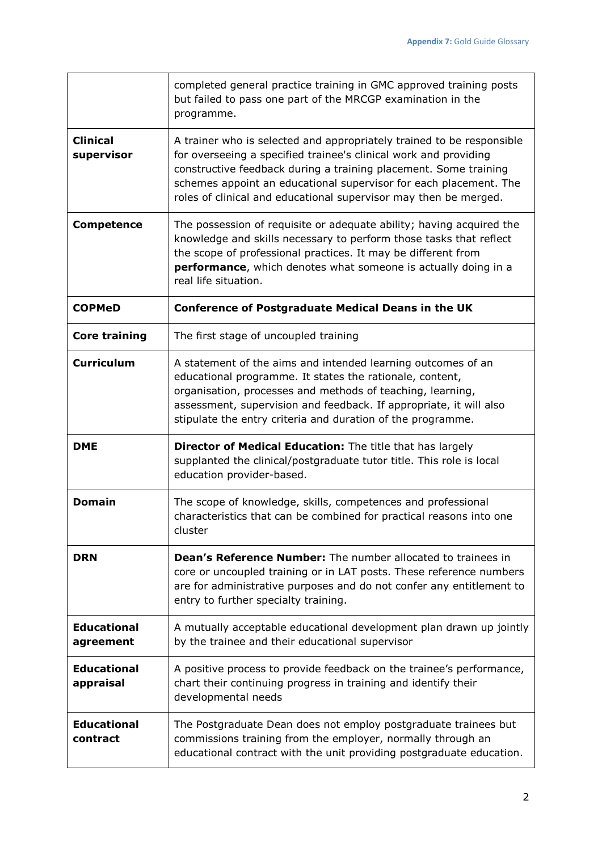|                                 | completed general practice training in GMC approved training posts<br>but failed to pass one part of the MRCGP examination in the<br>programme.                                                                                                                                                                                                        |
|---------------------------------|--------------------------------------------------------------------------------------------------------------------------------------------------------------------------------------------------------------------------------------------------------------------------------------------------------------------------------------------------------|
| <b>Clinical</b><br>supervisor   | A trainer who is selected and appropriately trained to be responsible<br>for overseeing a specified trainee's clinical work and providing<br>constructive feedback during a training placement. Some training<br>schemes appoint an educational supervisor for each placement. The<br>roles of clinical and educational supervisor may then be merged. |
| <b>Competence</b>               | The possession of requisite or adequate ability; having acquired the<br>knowledge and skills necessary to perform those tasks that reflect<br>the scope of professional practices. It may be different from<br>performance, which denotes what someone is actually doing in a<br>real life situation.                                                  |
| <b>COPMeD</b>                   | <b>Conference of Postgraduate Medical Deans in the UK</b>                                                                                                                                                                                                                                                                                              |
| <b>Core training</b>            | The first stage of uncoupled training                                                                                                                                                                                                                                                                                                                  |
| <b>Curriculum</b>               | A statement of the aims and intended learning outcomes of an<br>educational programme. It states the rationale, content,<br>organisation, processes and methods of teaching, learning,<br>assessment, supervision and feedback. If appropriate, it will also<br>stipulate the entry criteria and duration of the programme.                            |
| <b>DME</b>                      | Director of Medical Education: The title that has largely<br>supplanted the clinical/postgraduate tutor title. This role is local<br>education provider-based.                                                                                                                                                                                         |
| <b>Domain</b>                   | The scope of knowledge, skills, competences and professional<br>characteristics that can be combined for practical reasons into one<br>cluster                                                                                                                                                                                                         |
| <b>DRN</b>                      | <b>Dean's Reference Number:</b> The number allocated to trainees in<br>core or uncoupled training or in LAT posts. These reference numbers<br>are for administrative purposes and do not confer any entitlement to<br>entry to further specialty training.                                                                                             |
| <b>Educational</b><br>agreement | A mutually acceptable educational development plan drawn up jointly<br>by the trainee and their educational supervisor                                                                                                                                                                                                                                 |
| <b>Educational</b><br>appraisal | A positive process to provide feedback on the trainee's performance,<br>chart their continuing progress in training and identify their<br>developmental needs                                                                                                                                                                                          |
| <b>Educational</b><br>contract  | The Postgraduate Dean does not employ postgraduate trainees but<br>commissions training from the employer, normally through an<br>educational contract with the unit providing postgraduate education.                                                                                                                                                 |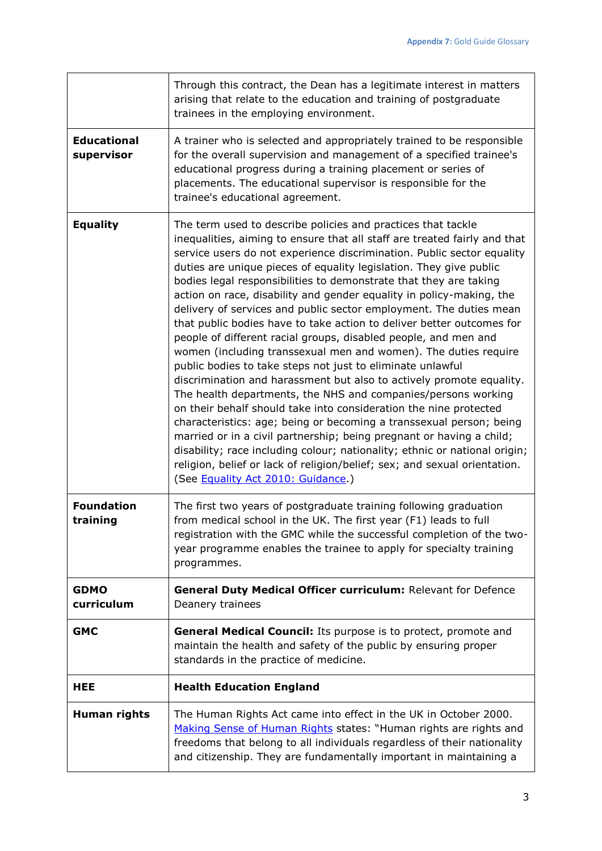|                                  | Through this contract, the Dean has a legitimate interest in matters<br>arising that relate to the education and training of postgraduate<br>trainees in the employing environment.                                                                                                                                                                                                                                                                                                                                                                                                                                                                                                                                                                                                                                                                                                                                                                                                                                                                                                                                                                                                                                                                                                                                                                     |
|----------------------------------|---------------------------------------------------------------------------------------------------------------------------------------------------------------------------------------------------------------------------------------------------------------------------------------------------------------------------------------------------------------------------------------------------------------------------------------------------------------------------------------------------------------------------------------------------------------------------------------------------------------------------------------------------------------------------------------------------------------------------------------------------------------------------------------------------------------------------------------------------------------------------------------------------------------------------------------------------------------------------------------------------------------------------------------------------------------------------------------------------------------------------------------------------------------------------------------------------------------------------------------------------------------------------------------------------------------------------------------------------------|
| <b>Educational</b><br>supervisor | A trainer who is selected and appropriately trained to be responsible<br>for the overall supervision and management of a specified trainee's<br>educational progress during a training placement or series of<br>placements. The educational supervisor is responsible for the<br>trainee's educational agreement.                                                                                                                                                                                                                                                                                                                                                                                                                                                                                                                                                                                                                                                                                                                                                                                                                                                                                                                                                                                                                                      |
| <b>Equality</b>                  | The term used to describe policies and practices that tackle<br>inequalities, aiming to ensure that all staff are treated fairly and that<br>service users do not experience discrimination. Public sector equality<br>duties are unique pieces of equality legislation. They give public<br>bodies legal responsibilities to demonstrate that they are taking<br>action on race, disability and gender equality in policy-making, the<br>delivery of services and public sector employment. The duties mean<br>that public bodies have to take action to deliver better outcomes for<br>people of different racial groups, disabled people, and men and<br>women (including transsexual men and women). The duties require<br>public bodies to take steps not just to eliminate unlawful<br>discrimination and harassment but also to actively promote equality.<br>The health departments, the NHS and companies/persons working<br>on their behalf should take into consideration the nine protected<br>characteristics: age; being or becoming a transsexual person; being<br>married or in a civil partnership; being pregnant or having a child;<br>disability; race including colour; nationality; ethnic or national origin;<br>religion, belief or lack of religion/belief; sex; and sexual orientation.<br>(See Equality Act 2010: Guidance.) |
| <b>Foundation</b><br>training    | The first two years of postgraduate training following graduation<br>from medical school in the UK. The first year (F1) leads to full<br>registration with the GMC while the successful completion of the two-<br>year programme enables the trainee to apply for specialty training<br>programmes.                                                                                                                                                                                                                                                                                                                                                                                                                                                                                                                                                                                                                                                                                                                                                                                                                                                                                                                                                                                                                                                     |
| <b>GDMO</b><br>curriculum        | General Duty Medical Officer curriculum: Relevant for Defence<br>Deanery trainees                                                                                                                                                                                                                                                                                                                                                                                                                                                                                                                                                                                                                                                                                                                                                                                                                                                                                                                                                                                                                                                                                                                                                                                                                                                                       |
| <b>GMC</b>                       | General Medical Council: Its purpose is to protect, promote and<br>maintain the health and safety of the public by ensuring proper<br>standards in the practice of medicine.                                                                                                                                                                                                                                                                                                                                                                                                                                                                                                                                                                                                                                                                                                                                                                                                                                                                                                                                                                                                                                                                                                                                                                            |
| <b>HEE</b>                       | <b>Health Education England</b>                                                                                                                                                                                                                                                                                                                                                                                                                                                                                                                                                                                                                                                                                                                                                                                                                                                                                                                                                                                                                                                                                                                                                                                                                                                                                                                         |
| Human rights                     | The Human Rights Act came into effect in the UK in October 2000.<br>Making Sense of Human Rights states: "Human rights are rights and<br>freedoms that belong to all individuals regardless of their nationality<br>and citizenship. They are fundamentally important in maintaining a                                                                                                                                                                                                                                                                                                                                                                                                                                                                                                                                                                                                                                                                                                                                                                                                                                                                                                                                                                                                                                                                  |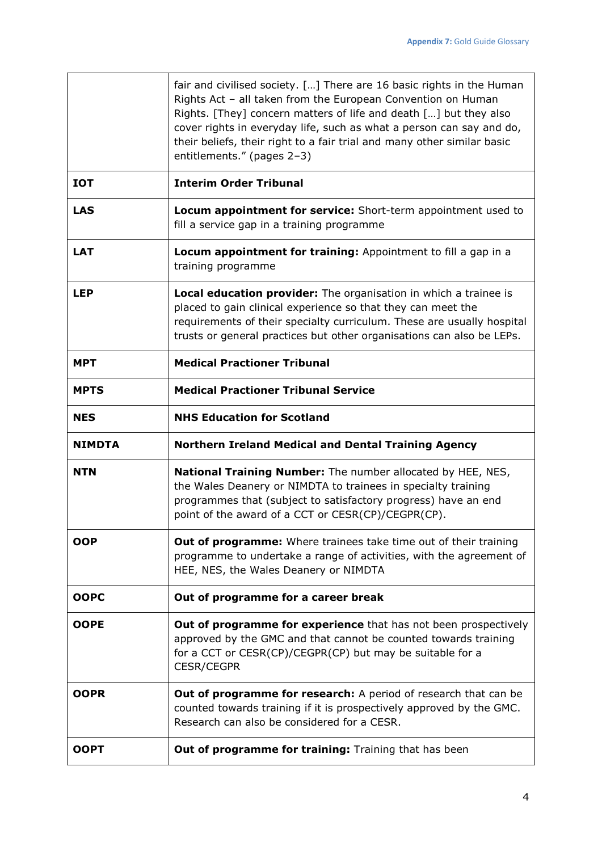|               | fair and civilised society. [] There are 16 basic rights in the Human<br>Rights Act - all taken from the European Convention on Human<br>Rights. [They] concern matters of life and death [] but they also<br>cover rights in everyday life, such as what a person can say and do,<br>their beliefs, their right to a fair trial and many other similar basic<br>entitlements." (pages 2-3) |
|---------------|---------------------------------------------------------------------------------------------------------------------------------------------------------------------------------------------------------------------------------------------------------------------------------------------------------------------------------------------------------------------------------------------|
| <b>IOT</b>    | <b>Interim Order Tribunal</b>                                                                                                                                                                                                                                                                                                                                                               |
| <b>LAS</b>    | Locum appointment for service: Short-term appointment used to<br>fill a service gap in a training programme                                                                                                                                                                                                                                                                                 |
| <b>LAT</b>    | Locum appointment for training: Appointment to fill a gap in a<br>training programme                                                                                                                                                                                                                                                                                                        |
| <b>LEP</b>    | Local education provider: The organisation in which a trainee is<br>placed to gain clinical experience so that they can meet the<br>requirements of their specialty curriculum. These are usually hospital<br>trusts or general practices but other organisations can also be LEPs.                                                                                                         |
| <b>MPT</b>    | <b>Medical Practioner Tribunal</b>                                                                                                                                                                                                                                                                                                                                                          |
| <b>MPTS</b>   | <b>Medical Practioner Tribunal Service</b>                                                                                                                                                                                                                                                                                                                                                  |
| <b>NES</b>    | <b>NHS Education for Scotland</b>                                                                                                                                                                                                                                                                                                                                                           |
| <b>NIMDTA</b> | Northern Ireland Medical and Dental Training Agency                                                                                                                                                                                                                                                                                                                                         |
| <b>NTN</b>    | National Training Number: The number allocated by HEE, NES,<br>the Wales Deanery or NIMDTA to trainees in specialty training<br>programmes that (subject to satisfactory progress) have an end                                                                                                                                                                                              |
|               | point of the award of a CCT or CESR(CP)/CEGPR(CP).                                                                                                                                                                                                                                                                                                                                          |
| <b>OOP</b>    | <b>Out of programme:</b> Where trainees take time out of their training<br>programme to undertake a range of activities, with the agreement of<br>HEE, NES, the Wales Deanery or NIMDTA                                                                                                                                                                                                     |
| <b>OOPC</b>   | Out of programme for a career break                                                                                                                                                                                                                                                                                                                                                         |
| <b>OOPE</b>   | Out of programme for experience that has not been prospectively<br>approved by the GMC and that cannot be counted towards training<br>for a CCT or CESR(CP)/CEGPR(CP) but may be suitable for a<br><b>CESR/CEGPR</b>                                                                                                                                                                        |
| <b>OOPR</b>   | Out of programme for research: A period of research that can be<br>counted towards training if it is prospectively approved by the GMC.<br>Research can also be considered for a CESR.                                                                                                                                                                                                      |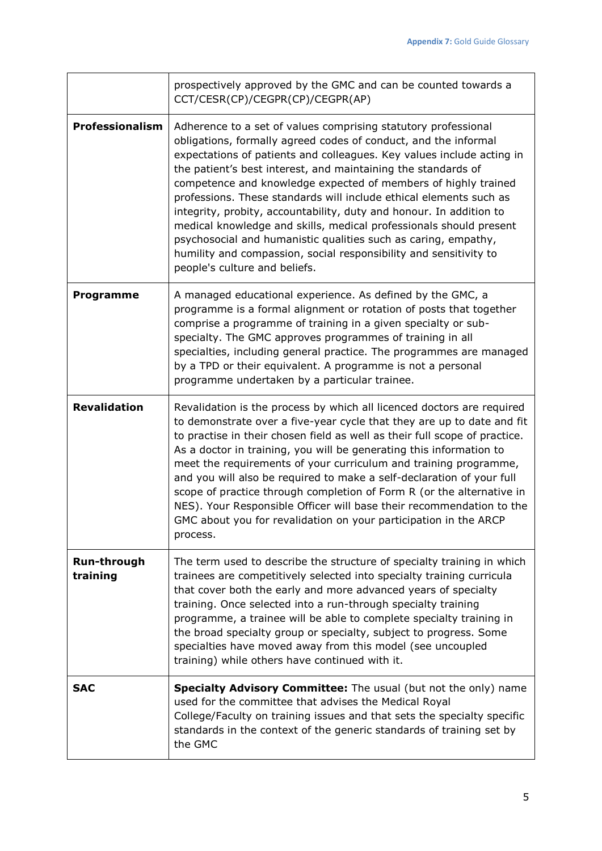|                         | prospectively approved by the GMC and can be counted towards a<br>CCT/CESR(CP)/CEGPR(CP)/CEGPR(AP)                                                                                                                                                                                                                                                                                                                                                                                                                                                                                                                                                                                                                                       |
|-------------------------|------------------------------------------------------------------------------------------------------------------------------------------------------------------------------------------------------------------------------------------------------------------------------------------------------------------------------------------------------------------------------------------------------------------------------------------------------------------------------------------------------------------------------------------------------------------------------------------------------------------------------------------------------------------------------------------------------------------------------------------|
| <b>Professionalism</b>  | Adherence to a set of values comprising statutory professional<br>obligations, formally agreed codes of conduct, and the informal<br>expectations of patients and colleagues. Key values include acting in<br>the patient's best interest, and maintaining the standards of<br>competence and knowledge expected of members of highly trained<br>professions. These standards will include ethical elements such as<br>integrity, probity, accountability, duty and honour. In addition to<br>medical knowledge and skills, medical professionals should present<br>psychosocial and humanistic qualities such as caring, empathy,<br>humility and compassion, social responsibility and sensitivity to<br>people's culture and beliefs. |
| Programme               | A managed educational experience. As defined by the GMC, a<br>programme is a formal alignment or rotation of posts that together<br>comprise a programme of training in a given specialty or sub-<br>specialty. The GMC approves programmes of training in all<br>specialties, including general practice. The programmes are managed<br>by a TPD or their equivalent. A programme is not a personal<br>programme undertaken by a particular trainee.                                                                                                                                                                                                                                                                                    |
| <b>Revalidation</b>     | Revalidation is the process by which all licenced doctors are required<br>to demonstrate over a five-year cycle that they are up to date and fit<br>to practise in their chosen field as well as their full scope of practice.<br>As a doctor in training, you will be generating this information to<br>meet the requirements of your curriculum and training programme,<br>and you will also be required to make a self-declaration of your full<br>scope of practice through completion of Form R (or the alternative in<br>NES). Your Responsible Officer will base their recommendation to the<br>GMC about you for revalidation on your participation in the ARCP<br>process.                                                      |
| Run-through<br>training | The term used to describe the structure of specialty training in which<br>trainees are competitively selected into specialty training curricula<br>that cover both the early and more advanced years of specialty<br>training. Once selected into a run-through specialty training<br>programme, a trainee will be able to complete specialty training in<br>the broad specialty group or specialty, subject to progress. Some<br>specialties have moved away from this model (see uncoupled<br>training) while others have continued with it.                                                                                                                                                                                           |
| <b>SAC</b>              | Specialty Advisory Committee: The usual (but not the only) name<br>used for the committee that advises the Medical Royal<br>College/Faculty on training issues and that sets the specialty specific<br>standards in the context of the generic standards of training set by<br>the GMC                                                                                                                                                                                                                                                                                                                                                                                                                                                   |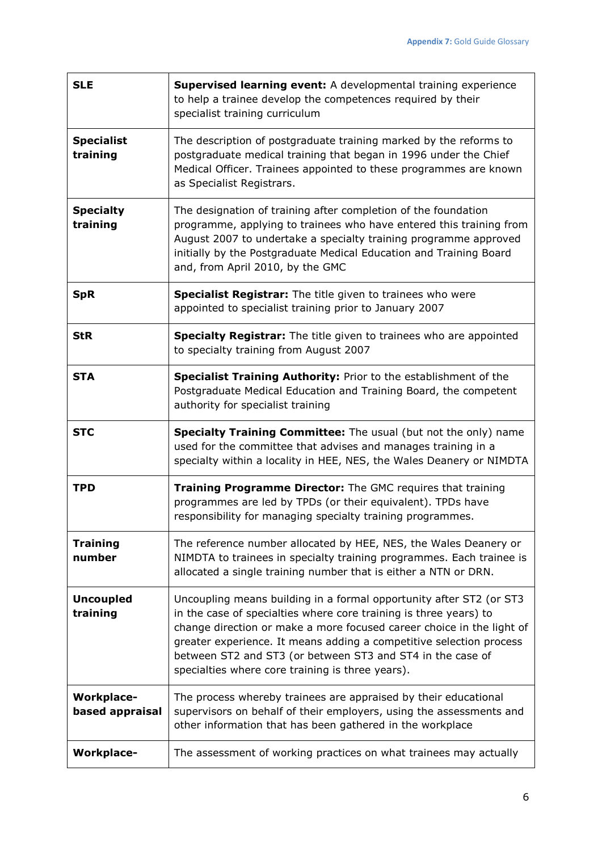h

| <b>SLE</b>                           | <b>Supervised learning event:</b> A developmental training experience<br>to help a trainee develop the competences required by their<br>specialist training curriculum                                                                                                                                                                                                                                     |
|--------------------------------------|------------------------------------------------------------------------------------------------------------------------------------------------------------------------------------------------------------------------------------------------------------------------------------------------------------------------------------------------------------------------------------------------------------|
| <b>Specialist</b><br>training        | The description of postgraduate training marked by the reforms to<br>postgraduate medical training that began in 1996 under the Chief<br>Medical Officer. Trainees appointed to these programmes are known<br>as Specialist Registrars.                                                                                                                                                                    |
| <b>Specialty</b><br>training         | The designation of training after completion of the foundation<br>programme, applying to trainees who have entered this training from<br>August 2007 to undertake a specialty training programme approved<br>initially by the Postgraduate Medical Education and Training Board<br>and, from April 2010, by the GMC                                                                                        |
| <b>SpR</b>                           | Specialist Registrar: The title given to trainees who were<br>appointed to specialist training prior to January 2007                                                                                                                                                                                                                                                                                       |
| <b>StR</b>                           | <b>Specialty Registrar:</b> The title given to trainees who are appointed<br>to specialty training from August 2007                                                                                                                                                                                                                                                                                        |
| <b>STA</b>                           | Specialist Training Authority: Prior to the establishment of the<br>Postgraduate Medical Education and Training Board, the competent<br>authority for specialist training                                                                                                                                                                                                                                  |
|                                      |                                                                                                                                                                                                                                                                                                                                                                                                            |
| <b>STC</b>                           | Specialty Training Committee: The usual (but not the only) name<br>used for the committee that advises and manages training in a<br>specialty within a locality in HEE, NES, the Wales Deanery or NIMDTA                                                                                                                                                                                                   |
| <b>TPD</b>                           | Training Programme Director: The GMC requires that training<br>programmes are led by TPDs (or their equivalent). TPDs have<br>responsibility for managing specialty training programmes.                                                                                                                                                                                                                   |
| <b>Training</b><br>number            | The reference number allocated by HEE, NES, the Wales Deanery or<br>NIMDTA to trainees in specialty training programmes. Each trainee is<br>allocated a single training number that is either a NTN or DRN.                                                                                                                                                                                                |
| <b>Uncoupled</b><br>training         | Uncoupling means building in a formal opportunity after ST2 (or ST3<br>in the case of specialties where core training is three years) to<br>change direction or make a more focused career choice in the light of<br>greater experience. It means adding a competitive selection process<br>between ST2 and ST3 (or between ST3 and ST4 in the case of<br>specialties where core training is three years). |
| <b>Workplace-</b><br>based appraisal | The process whereby trainees are appraised by their educational<br>supervisors on behalf of their employers, using the assessments and<br>other information that has been gathered in the workplace                                                                                                                                                                                                        |